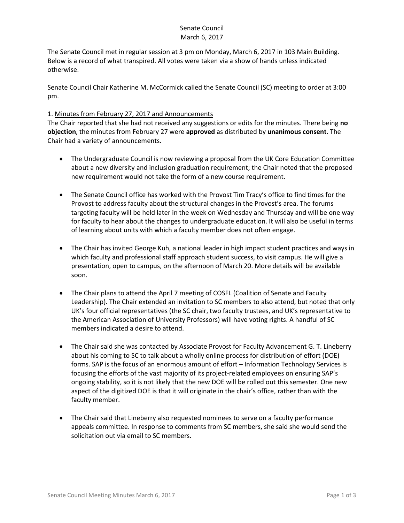# Senate Council March 6, 2017

The Senate Council met in regular session at 3 pm on Monday, March 6, 2017 in 103 Main Building. Below is a record of what transpired. All votes were taken via a show of hands unless indicated otherwise.

Senate Council Chair Katherine M. McCormick called the Senate Council (SC) meeting to order at 3:00 pm.

## 1. Minutes from February 27, 2017 and Announcements

The Chair reported that she had not received any suggestions or edits for the minutes. There being **no objection**, the minutes from February 27 were **approved** as distributed by **unanimous consent**. The Chair had a variety of announcements.

- The Undergraduate Council is now reviewing a proposal from the UK Core Education Committee about a new diversity and inclusion graduation requirement; the Chair noted that the proposed new requirement would not take the form of a new course requirement.
- The Senate Council office has worked with the Provost Tim Tracy's office to find times for the Provost to address faculty about the structural changes in the Provost's area. The forums targeting faculty will be held later in the week on Wednesday and Thursday and will be one way for faculty to hear about the changes to undergraduate education. It will also be useful in terms of learning about units with which a faculty member does not often engage.
- The Chair has invited George Kuh, a national leader in high impact student practices and ways in which faculty and professional staff approach student success, to visit campus. He will give a presentation, open to campus, on the afternoon of March 20. More details will be available soon.
- The Chair plans to attend the April 7 meeting of COSFL (Coalition of Senate and Faculty Leadership). The Chair extended an invitation to SC members to also attend, but noted that only UK's four official representatives (the SC chair, two faculty trustees, and UK's representative to the American Association of University Professors) will have voting rights. A handful of SC members indicated a desire to attend.
- The Chair said she was contacted by Associate Provost for Faculty Advancement G. T. Lineberry about his coming to SC to talk about a wholly online process for distribution of effort (DOE) forms. SAP is the focus of an enormous amount of effort – Information Technology Services is focusing the efforts of the vast majority of its project-related employees on ensuring SAP's ongoing stability, so it is not likely that the new DOE will be rolled out this semester. One new aspect of the digitized DOE is that it will originate in the chair's office, rather than with the faculty member.
- The Chair said that Lineberry also requested nominees to serve on a faculty performance appeals committee. In response to comments from SC members, she said she would send the solicitation out via email to SC members.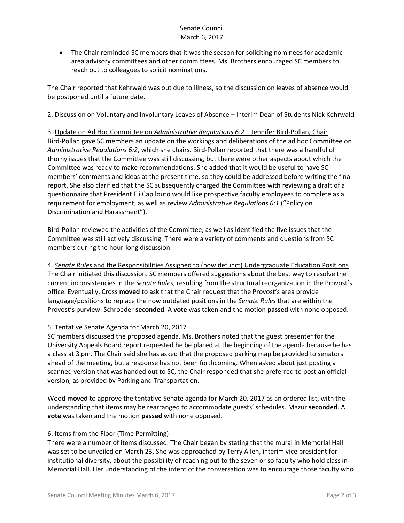# Senate Council March 6, 2017

 The Chair reminded SC members that it was the season for soliciting nominees for academic area advisory committees and other committees. Ms. Brothers encouraged SC members to reach out to colleagues to solicit nominations.

The Chair reported that Kehrwald was out due to illness, so the discussion on leaves of absence would be postponed until a future date.

#### 2. Discussion on Voluntary and Involuntary Leaves of Absence – Interim Dean of Students Nick Kehrwald

3. Update on Ad Hoc Committee on *Administrative Regulations 6:2* – Jennifer Bird-Pollan, Chair Bird-Pollan gave SC members an update on the workings and deliberations of the ad hoc Committee on *Administrative Regulations 6:2*, which she chairs. Bird-Pollan reported that there was a handful of thorny issues that the Committee was still discussing, but there were other aspects about which the Committee was ready to make recommendations. She added that it would be useful to have SC members' comments and ideas at the present time, so they could be addressed before writing the final report. She also clarified that the SC subsequently charged the Committee with reviewing a draft of a questionnaire that President Eli Capilouto would like prospective faculty employees to complete as a requirement for employment, as well as review *Administrative Regulations 6:1* ("Policy on Discrimination and Harassment").

Bird-Pollan reviewed the activities of the Committee, as well as identified the five issues that the Committee was still actively discussing. There were a variety of comments and questions from SC members during the hour-long discussion.

4. *Senate Rules* and the Responsibilities Assigned to (now defunct) Undergraduate Education Positions The Chair initiated this discussion. SC members offered suggestions about the best way to resolve the current inconsistencies in the *Senate Rules*, resulting from the structural reorganization in the Provost's office. Eventually, Cross **moved** to ask that the Chair request that the Provost's area provide language/positions to replace the now outdated positions in the *Senate Rules* that are within the Provost's purview. Schroeder **seconded**. A **vote** was taken and the motion **passed** with none opposed.

## 5. Tentative Senate Agenda for March 20, 2017

SC members discussed the proposed agenda. Ms. Brothers noted that the guest presenter for the University Appeals Board report requested he be placed at the beginning of the agenda because he has a class at 3 pm. The Chair said she has asked that the proposed parking map be provided to senators ahead of the meeting, but a response has not been forthcoming. When asked about just posting a scanned version that was handed out to SC, the Chair responded that she preferred to post an official version, as provided by Parking and Transportation.

Wood **moved** to approve the tentative Senate agenda for March 20, 2017 as an ordered list, with the understanding that items may be rearranged to accommodate guests' schedules. Mazur **seconded**. A **vote** was taken and the motion **passed** with none opposed.

## 6. Items from the Floor (Time Permitting)

There were a number of items discussed. The Chair began by stating that the mural in Memorial Hall was set to be unveiled on March 23. She was approached by Terry Allen, interim vice president for institutional diversity, about the possibility of reaching out to the seven or so faculty who hold class in Memorial Hall. Her understanding of the intent of the conversation was to encourage those faculty who